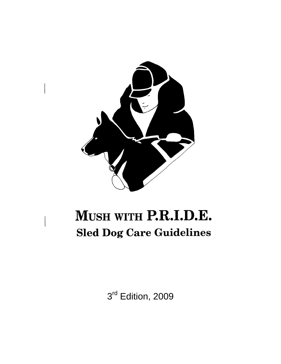

# MUSH WITH P.R.I.D.E. **Sled Dog Care Guidelines**

3<sup>rd</sup> Edition, 2009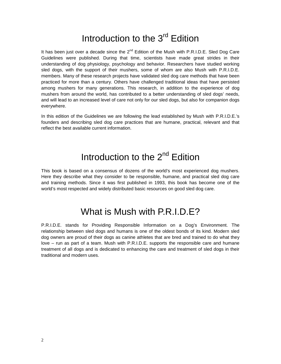## Introduction to the 3<sup>rd</sup> Edition

It has been just over a decade since the  $2^{nd}$  Edition of the Mush with P.R.I.D.E. Sled Dog Care Guidelines were published. During that time, scientists have made great strides in their understanding of dog physiology, psychology and behavior. Researchers have studied working sled dogs, with the support of their mushers, some of whom are also Mush with P.R.I.D.E. members. Many of these research projects have validated sled dog care methods that have been practiced for more than a century. Others have challenged traditional ideas that have persisted among mushers for many generations. This research, in addition to the experience of dog mushers from around the world, has contributed to a better understanding of sled dogs' needs, and will lead to an increased level of care not only for our sled dogs, but also for companion dogs everywhere.

In this edition of the Guidelines we are following the lead established by Mush with P.R.I.D.E.'s founders and describing sled dog care practices that are humane, practical, relevant and that reflect the best available current information.

### Introduction to the 2<sup>nd</sup> Edition

This book is based on a consensus of dozens of the world's most experienced dog mushers. Here they describe what they consider to be responsible, humane, and practical sled dog care and training methods. Since it was first published in 1993, this book has become one of the world's most respected and widely distributed basic resources on good sled dog care.

### What is Mush with P.R.I.D.F?

P.R.I.D.E. stands for Providing Responsible Information on a Dog's Environment. The relationship between sled dogs and humans is one of the oldest bonds of its kind. Modern sled dog owners are proud of their dogs as canine athletes that are bred and trained to do what they love – run as part of a team. Mush with P.R.I.D.E. supports the responsible care and humane treatment of all dogs and is dedicated to enhancing the care and treatment of sled dogs in their traditional and modern uses.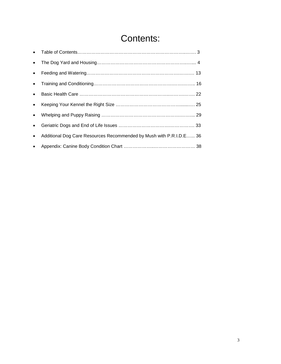### Contents:

| • Additional Dog Care Resources Recommended by Mush with P.R.I.D.E 36 |  |
|-----------------------------------------------------------------------|--|
|                                                                       |  |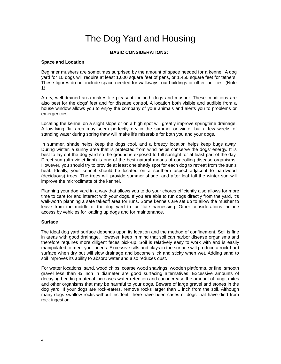### The Dog Yard and Housing

#### **BASIC CONSIDERATIONS:**

#### **Space and Location**

Beginner mushers are sometimes surprised by the amount of space needed for a kennel. A dog yard for 10 dogs will require at least 1,000 square feet of pens, or 1,450 square feet for tethers. These figures do not include space needed for walkways, out buildings or other facilities. (Note 1)

A dry, well-drained area makes life pleasant for both dogs and musher. These conditions are also best for the dogs' feet and for disease control. A location both visible and audible from a house window allows you to enjoy the company of your animals and alerts you to problems or emergencies.

Locating the kennel on a slight slope or on a high spot will greatly improve springtime drainage. A low-lying flat area may seem perfectly dry in the summer or winter but a few weeks of standing water during spring thaw will make life miserable for both you and your dogs.

In summer, shade helps keep the dogs cool, and a breezy location helps keep bugs away. During winter, a sunny area that is protected from wind helps conserve the dogs' energy. It is best to lay out the dog yard so the ground is exposed to full sunlight for at least part of the day. Direct sun (ultraviolet light) is one of the best natural means of controlling disease organisms. However, you should try to provide at least one shady spot for each dog to retreat from the sun's heat. Ideally, your kennel should be located on a southern aspect adjacent to hardwood (deciduous) trees. The trees will provide summer shade, and after leaf fall the winter sun will improve the microclimate of the kennel.

Planning your dog yard in a way that allows you to do your chores efficiently also allows for more time to care for and interact with your dogs. If you are able to run dogs directly from the yard, it's well-worth planning a safe takeoff area for runs. Some kennels are set up to allow the musher to leave from the middle of the dog yard to facilitate harnessing. Other considerations include access by vehicles for loading up dogs and for maintenance.

#### **Surface**

 The ideal dog yard surface depends upon its location and the method of confinement. Soil is fine in areas with good drainage. However, keep in mind that soil can harbor disease organisms and therefore requires more diligent feces pick-up. Soil is relatively easy to work with and is easily manipulated to meet your needs. Excessive silts and clays in the surface will produce a rock-hard surface when dry but will slow drainage and become slick and sticky when wet. Adding sand to soil improves its ability to absorb water and also reduces dust.

For wetter locations, sand, wood chips, coarse wood shavings, wooden platforms, or fine, smooth gravel less than ¾ inch in diameter are good surfacing alternatives. Excessive amounts of decaying bedding material increases water retention and can increase the amount of fungi, mites and other organisms that may be harmful to your dogs. Beware of large gravel and stones in the dog yard. If your dogs are rock-eaters, remove rocks larger than 1 inch from the soil. Although many dogs swallow rocks without incident, there have been cases of dogs that have died from rock ingestion.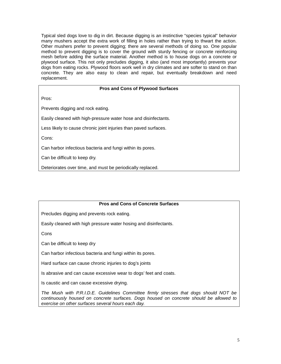Typical sled dogs love to dig in dirt. Because digging is an instinctive "species typical" behavior many mushers accept the extra work of filling in holes rather than trying to thwart the action. Other mushers prefer to prevent digging; there are several methods of doing so. One popular method to prevent digging is to cover the ground with sturdy fencing or concrete reinforcing mesh before adding the surface material. Another method is to house dogs on a concrete or plywood surface. This not only precludes digging, it also (and most importantly) prevents your dogs from eating rocks. Plywood floors work well in dry climates and are softer to stand on than concrete. They are also easy to clean and repair, but eventually breakdown and need replacement.

#### **Pros and Cons of Plywood Surfaces**

Pros:

Prevents digging and rock eating.

Easily cleaned with high-pressure water hose and disinfectants.

Less likely to cause chronic joint injuries than paved surfaces.

Cons:

Can harbor infectious bacteria and fungi within its pores.

Can be difficult to keep dry.

Deteriorates over time, and must be periodically replaced.

#### **Pros and Cons of Concrete Surfaces**

Precludes digging and prevents rock eating.

Easily cleaned with high pressure water hosing and disinfectants.

**Cons** 

Can be difficult to keep dry

Can harbor infectious bacteria and fungi within its pores.

Hard surface can cause chronic injuries to dog's joints

Is abrasive and can cause excessive wear to dogs' feet and coats.

Is caustic and can cause excessive drying.

*The Mush with P.R.I.D.E. Guidelines Committee firmly stresses that dogs should NOT be continuously housed on concrete surfaces. Dogs housed on concrete should be allowed to exercise on other surfaces several hours each day.*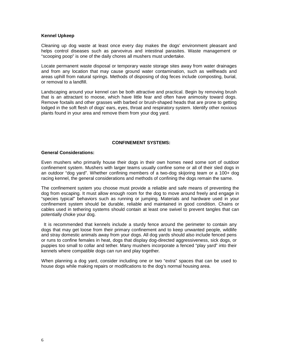#### **Kennel Upkeep**

Cleaning up dog waste at least once every day makes the dogs' environment pleasant and helps control diseases such as parvovirus and intestinal parasites. Waste management or "scooping poop" is one of the daily chores all mushers must undertake.

Locate permanent waste disposal or temporary waste storage sites away from water drainages and from any location that may cause ground water contamination, such as wellheads and areas uphill from natural springs. Methods of disposing of dog feces include composting, burial, or removal to a landfill.

Landscaping around your kennel can be both attractive and practical. Begin by removing brush that is an attractant to moose, which have little fear and often have animosity toward dogs. Remove foxtails and other grasses with barbed or brush-shaped heads that are prone to getting lodged in the soft flesh of dogs' ears, eyes, throat and respiratory system. Identify other noxious plants found in your area and remove them from your dog yard.

#### **CONFINEMENT SYSTEMS:**

#### **General Considerations:**

Even mushers who primarily house their dogs in their own homes need some sort of outdoor confinement system. Mushers with larger teams usually confine some or all of their sled dogs in an outdoor "dog yard". Whether confining members of a two-dog skijoring team or a 100+ dog racing kennel, the general considerations and methods of confining the dogs remain the same.

The confinement system you choose must provide a reliable and safe means of preventing the dog from escaping. It must allow enough room for the dog to move around freely and engage in "species typical" behaviors such as running or jumping. Materials and hardware used in your confinement system should be durable, reliable and maintained in good condition. Chains or cables used in tethering systems should contain at least one swivel to prevent tangles that can potentially choke your dog.

 It is recommended that kennels include a sturdy fence around the perimeter to contain any dogs that may get loose from their primary confinement and to keep unwanted people, wildlife and stray domestic animals away from your dogs. All dog yards should also include fenced pens or runs to confine females in heat, dogs that display dog-directed aggressiveness, sick dogs, or puppies too small to collar and tether. Many mushers incorporate a fenced "play yard" into their kennels where compatible dogs can run and play together.

When planning a dog yard, consider including one or two "extra" spaces that can be used to house dogs while making repairs or modifications to the dog's normal housing area.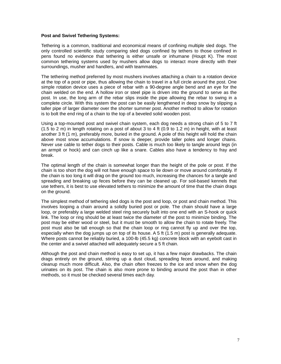#### **Post and Swivel Tethering Systems:**

Tethering is a common, traditional and economical means of confining multiple sled dogs. The only controlled scientific study comparing sled dogs confined by tethers to those confined in pens found no evidence that tethering is either unsafe or inhumane (Houpt K). The most common tethering systems used by mushers allow dogs to interact more directly with their surroundings, musher and handlers, and with teammates.

The tethering method preferred by most mushers involves attaching a chain to a rotation device at the top of a post or pipe, thus allowing the chain to travel in a full circle around the post. One simple rotation device uses a piece of rebar with a 90-degree angle bend and an eye for the chain welded on the end. A hollow iron or steel pipe is driven into the ground to serve as the post. In use, the long arm of the rebar slips inside the pipe allowing the rebar to swing in a complete circle. With this system the post can be easily lengthened in deep snow by slipping a taller pipe of larger diameter over the shorter summer post. Another method to allow for rotation is to bolt the end ring of a chain to the top of a beveled solid wooden post.

Using a top-mounted post and swivel chain system, each dog needs a strong chain of 5 to 7 ft (1.5 to 2 m) in length rotating on a post of about 3 to 4 ft (0.9 to 1.2 m) in height, with at least another 3 ft (1 m), preferably more, buried in the ground. A pole of this height will hold the chain above most snow accumulations. If snow is deeper, provide taller poles and longer chains. Never use cable to tether dogs to their posts. Cable is much too likely to tangle around legs (in an armpit or hock) and can cinch up like a snare. Cables also have a tendency to fray and break.

The optimal length of the chain is somewhat longer than the height of the pole or post. If the chain is too short the dog will not have enough space to lie down or move around comfortably. If the chain is too long it will drag on the ground too much, increasing the chances for a tangle and spreading and breaking up feces before they can be cleaned up. For soil-based kennels that use tethers, it is best to use elevated tethers to minimize the amount of time that the chain drags on the ground.

The simplest method of tethering sled dogs is the post and loop, or post and chain method. This involves looping a chain around a solidly buried post or pole. The chain should have a large loop, or preferably a large welded steel ring securely built into one end with an S-hook or quick link. The loop or ring should be at least twice the diameter of the post to minimize binding. The post may be either wood or steel, but it must be smooth to allow the chain to rotate freely. The post must also be tall enough so that the chain loop or ring cannot fly up and over the top, especially when the dog jumps up on top of its house. A 5 ft (1.5 m) post is generally adequate. Where posts cannot be reliably buried, a 100-lb (45.5 kg) concrete block with an eyebolt cast in the center and a swivel attached will adequately secure a 5 ft chain.

Although the post and chain method is easy to set up, it has a few major drawbacks. The chain drags entirely on the ground, stirring up a dust cloud, spreading feces around, and making cleanup much more difficult. Also, the chain often freezes to the ice and snow when the dog urinates on its post. The chain is also more prone to binding around the post than in other methods, so it must be checked several times each day.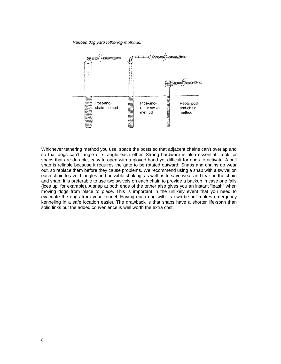Various dog yard tethering methods.



Whichever tethering method you use, space the posts so that adjacent chains can't overlap and so that dogs can't tangle or strangle each other. Strong hardware is also essential. Look for snaps that are durable, easy to open with a gloved hand yet difficult for dogs to activate. A bull snap is reliable because it requires the gate to be rotated outward. Snaps and chains do wear out, so replace them before they cause problems. We recommend using a snap with a swivel on each chain to avoid tangles and possible choking, as well as to save wear and tear on the chain and snap. It is preferable to use two swivels on each chain to provide a backup in case one fails (ices up, for example). A snap at both ends of the tether also gives you an instant "leash" when moving dogs from place to place. This is important in the unlikely event that you need to evacuate the dogs from your kennel. Having each dog with its own tie-out makes emergency kenneling in a safe location easier. The drawback is that snaps have a shorter life-span than solid links but the added convenience is well worth the extra cost.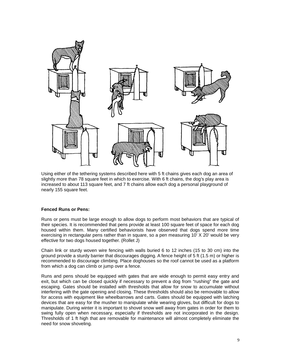

Using either of the tethering systems described here with 5 ft chains gives each dog an area of slightly more than 78 square feet in which to exercise. With 6 ft chains, the dog's play area is increased to about 113 square feet, and 7 ft chains allow each dog a personal playground of nearly 155 square feet.

#### **Fenced Runs or Pens:**

Runs or pens must be large enough to allow dogs to perform most behaviors that are typical of their species. It is recommended that pens provide at least 100 square feet of space for each dog housed within them. Many certified behaviorists have observed that dogs spend more time exercising in rectangular pens rather than in square, so a pen measuring 10' X 20' would be very effective for two dogs housed together. (Rollet J)

Chain link or sturdy woven wire fencing with walls buried 6 to 12 inches (15 to 30 cm) into the ground provide a sturdy barrier that discourages digging. A fence height of 5 ft (1.5 m) or higher is recommended to discourage climbing. Place doghouses so the roof cannot be used as a platform from which a dog can climb or jump over a fence.

Runs and pens should be equipped with gates that are wide enough to permit easy entry and exit, but which can be closed quickly if necessary to prevent a dog from "rushing" the gate and escaping. Gates should be installed with thresholds that allow for snow to accumulate without interfering with the gate opening and closing. These thresholds should also be removable to allow for access with equipment like wheelbarrows and carts. Gates should be equipped with latching devices that are easy for the musher to manipulate while wearing gloves, but difficult for dogs to manipulate. During winter it is important to shovel snow well away from gates in order for them to swing fully open when necessary, especially if thresholds are not incorporated in the design. Thresholds of 1 ft high that are removable for maintenance will almost completely eliminate the need for snow shoveling.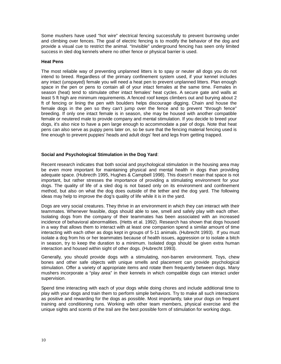Some mushers have used "hot wire" electrical fencing successfully to prevent burrowing under and climbing over fences. The goal of electric fencing is to modify the behavior of the dog and provide a visual cue to restrict the animal. "Invisible" underground fencing has seen only limited success in sled dog kennels where no other fence or physical barrier is used.

#### **Heat Pens**

The most reliable way of preventing unplanned litters is to spay or neuter all dogs you do not intend to breed. Regardless of the primary confinement system used, if your kennel includes any intact (unspayed) female you will need a heat pen to prevent unplanned litters. Plan enough space in the pen or pens to contain all of your intact females at the same time. Females in season (heat) tend to stimulate other intact females' heat cycles. A secure gate and walls at least 5 ft high are minimum requirements. A fenced roof keeps climbers out and burying about 2 ft of fencing or lining the pen with boulders helps discourage digging. Chain and house the female dogs in the pen so they can't jump over the fence and to prevent "through fence" breeding. If only one intact female is in season, she may be housed with another compatible female or neutered male to provide company and mental stimulation. If you decide to breed your dogs, it's also nice to have a pen large enough to accommodate a pair of dogs. Note that heat pens can also serve as puppy pens later on, so be sure that the fencing material fencing used is fine enough to prevent puppies' heads and adult dogs' feet and legs from getting trapped.

#### **Social and Psychological Stimulation in the Dog Yard**:

Recent research indicates that both social and psychological stimulation in the housing area may be even more important for maintaining physical and mental health in dogs than providing adequate space. (Hubrecth 1995, Hughes & Campbell 1998). This doesn't mean that space is not important, but rather stresses the importance of providing a stimulating environment for your dogs. The quality of life of a sled dog is not based only on its environment and confinement method, but also on what the dog does outside of the tether and the dog yard. The following ideas may help to improve the dog's quality of life while it is in the yard.

Dogs are very social creatures. They thrive in an environment in which they can interact with their teammates. Whenever feasible, dogs should able to see, smell and safely play with each other. Isolating dogs from the company of their teammates has been associated with an increased incidence of behavioral abnormalities. (Hetts et al. 1992). Research has shown that dogs housed in a way that allows them to interact with at least one companion spend a similar amount of time interacting with each other as dogs kept in groups of 5-11 animals. (Hubrecht 1993). If you must isolate a dog from his or her teammates because of health issues, aggression or to isolate a bitch in season, try to keep the duration to a minimum. Isolated dogs should be given extra human interaction and housed within sight of other dogs. (Hubrecht 1993).

Generally, you should provide dogs with a stimulating, non-barren environment. Toys, chew bones and other safe objects with unique smells and placement can provide psychological stimulation. Offer a variety of appropriate items and rotate them frequently between dogs. Many mushers incorporate a "play area" in their kennels in which compatible dogs can interact under supervision.

Spend time interacting with each of your dogs while doing chores and include additional time to play with your dogs and train them to perform simple behaviors. Try to make all such interactions as positive and rewarding for the dogs as possible. Most importantly, take your dogs on frequent training and conditioning runs. Working with other team members, physical exercise and the unique sights and scents of the trail are the best possible form of stimulation for working dogs.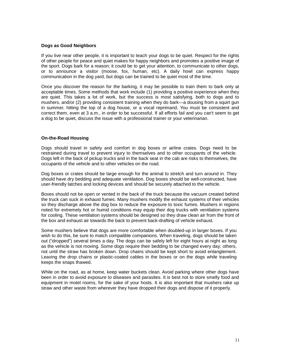#### **Dogs as Good Neighbors**

If you live near other people, it is important to teach your dogs to be quiet. Respect for the rights of other people for peace and quiet makes for happy neighbors and promotes a positive image of the sport. Dogs bark for a reason; it could be to get your attention, to communicate to other dogs, or to announce a visitor (moose, fox, human, etc). A daily howl can express happy communication in the dog yard, but dogs can be trained to be quiet most of the time.

Once you discover the reason for the barking, it may be possible to train them to bark only at acceptable times. Some methods that work include (1) providing a positive experience when they are quiet. This takes a lot of work, but the success is most satisfying, both to dogs and to mushers, and/or (2) providing consistent training when they do bark—a dousing from a squirt gun in summer, hitting the top of a dog house, or a vocal reprimand. You must be consistent and correct them, even at 3 a.m., in order to be successful. If all efforts fail and you can't seem to get a dog to be quiet, discuss the issue with a professional trainer or your veterinarian.

#### **On-the-Road Housing**

Dogs should travel in safety and comfort in dog boxes or airline crates. Dogs need to be restrained during travel to prevent injury to themselves and to other occupants of the vehicle. Dogs left in the back of pickup trucks and in the back seat in the cab are risks to themselves, the occupants of the vehicle and to other vehicles on the road.

Dog boxes or crates should be large enough for the animal to stretch and turn around in. They should have dry bedding and adequate ventilation. Dog boxes should be well-constructed, have user-friendly latches and locking devices and should be securely attached to the vehicle.

Boxes should not be open or vented in the back of the truck because the vacuum created behind the truck can suck in exhaust fumes. Many mushers modify the exhaust systems of their vehicles so they discharge above the dog box to reduce the exposure to toxic fumes. Mushers in regions noted for extremely hot or humid conditions may equip their dog trucks with ventilation systems for cooling. These ventilation systems should be designed so they draw clean air from the front of the box and exhaust air towards the back to prevent back-drafting of vehicle exhaust.

Some mushers believe that dogs are more comfortable when doubled-up in larger boxes. If you wish to do this, be sure to match compatible companions. When traveling, dogs should be taken out ("dropped") several times a day. The dogs can be safely left for eight hours at night as long as the vehicle is not moving. Some dogs require their bedding to be changed every day; others, not until the straw has broken down. Drop chains should be kept short to avoid entanglement. Leaving the drop chains or plastic-coated cables in the boxes or on the dogs while traveling keeps the snaps thawed.

While on the road, as at home, keep water buckets clean. Avoid parking where other dogs have been in order to avoid exposure to diseases and parasites. It is best not to store smelly food and equipment in motel rooms, for the sake of your hosts. It is also important that mushers rake up straw and other waste from wherever they have dropped their dogs and dispose of it properly.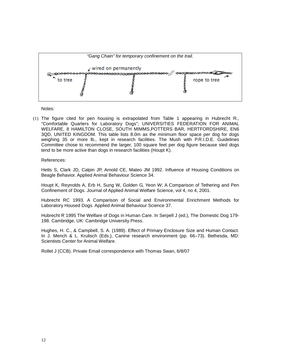

Notes:

(1) The figure cited for pen housing is extrapolated from Table 1 appearing in Hubrecht R., "Comfortable Quarters for Laboratory Dogs"; UNIVERSITIES FEDERATION FOR ANIMAL WELFARE, 8 HAMILTON CLOSE, SOUTH MIMMS,POTTERS BAR, HERTFORDSHIRE, EN6 3QD, UNITED KINGDOM. This table lists 8.0m as the minimum floor space per dog for dogs weighing 35 or more lb., kept in research facilities. The Mush with P.R.I.D.E. Guidelines Committee chose to recommend the larger, 100 square feet per dog figure because sled dogs tend to be more active than dogs in research facilities (Houpt K).

#### References:

Hetts S, Clark JD, Calpin JP, Arnold CE, Mateo JM 1992. Influence of Housing Conditions on Beagle Behavior. Applied Animal Behaviour Science 34.

Houpt K, Reynolds A, Erb H, Sung W, Golden G, Yeon W; A Comparison of Tethering and Pen Confinement of Dogs. Journal of Applied Animal Welfare Science, vol 4, no 4, 2001.

Hubrecht RC 1993. A Comparison of Social and Environmental Enrichment Methods for Laboratory Housed Dogs. Applied Animal Behaviour Science 37.

Hubrecht R 1995 The Welfare of Dogs in Human Care. In Serpell J (ed.), The Domestic Dog 179- 198. Cambridge, UK: Cambridge University Press.

Hughes, H. C., & Campbell, S. A. (1989). Effect of Primary Enclosure Size and Human Contact. In J. Mench & L. Krulisch (Eds.), Canine research environment (pp. 66–73). Bethesda, MD: Scientists Center for Animal Welfare.

Rollet J (CCB). Private Email correspondence with Thomas Swan, 6/8/07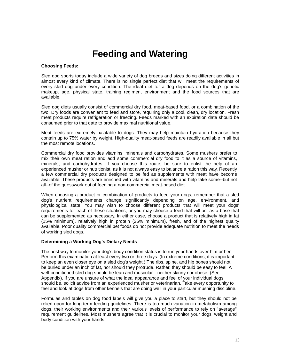### **Feeding and Watering**

#### **Choosing Feeds:**

Sled dog sports today include a wide variety of dog breeds and sizes doing different activities in almost every kind of climate. There is no single perfect diet that will meet the requirements of every sled dog under every condition. The ideal diet for a dog depends on the dog's genetic makeup, age, physical state, training regimen, environment and the food sources that are available.

Sled dog diets usually consist of commercial dry food, meat-based food, or a combination of the two. Dry foods are convenient to feed and store, requiring only a cool, clean, dry location. Fresh meat products require refrigeration or freezing. Feeds marked with an expiration date should be consumed prior to that date to provide maximal nutritional value.

Meat feeds are extremely palatable to dogs. They may help maintain hydration because they contain up to 75% water by weight. High-quality meat-based feeds are readily available in all but the most remote locations.

Commercial dry food provides vitamins, minerals and carbohydrates. Some mushers prefer to mix their own meat ration and add some commercial dry food to it as a source of vitamins, minerals, and carbohydrates. If you choose this route, be sure to enlist the help of an experienced musher or nutritionist, as it is not always easy to balance a ration this way. Recently a few commercial dry products designed to be fed as supplements with meat have become available. These products are enriched with vitamins and minerals and help take some--but not all--of the guesswork out of feeding a non-commercial meat-based diet.

When choosing a product or combination of products to feed your dogs, remember that a sled dog's nutrient requirements change significantly depending on age, environment, and physiological state. You may wish to choose different products that will meet your dogs' requirements for each of these situations, or you may choose a feed that will act as a base that can be supplemented as necessary. In either case, choose a product that is relatively high in fat (15% minimum), relatively high in protein (25% minimum), fresh, and of the highest quality available. Poor quality commercial pet foods do not provide adequate nutrition to meet the needs of working sled dogs.

#### **Determining a Working Dog's Dietary Needs**

The best way to monitor your dog's body condition status is to run your hands over him or her. Perform this examination at least every two or three days. (In extreme conditions, it is important to keep an even closer eye on a sled dog's weight.) The ribs, spine, and hip bones should not be buried under an inch of fat, nor should they protrude. Rather, they should be easy to feel. A well-conditioned sled dog should be lean and muscular—neither skinny nor obese. (See Appendix). If you are unsure of what the ideal appearance and feel of your individual dogs should be, solicit advice from an experienced musher or veterinarian. Take every opportunity to feel and look at dogs from other kennels that are doing well in your particular mushing discipline.

Formulas and tables on dog food labels will give you a place to start, but they should not be relied upon for long-term feeding guidelines. There is too much variation in metabolism among dogs, their working environments and their various levels of performance to rely on "average" requirement guidelines. Most mushers agree that it is crucial to monitor your dogs' weight and body condition with your hands.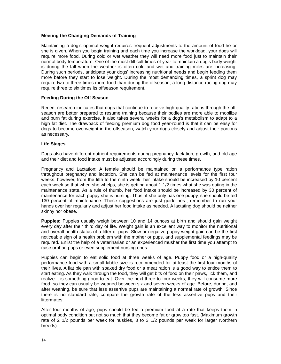#### **Meeting the Changing Demands of Training**

Maintaining a dog's optimal weight requires frequent adjustments to the amount of food he or she is given. When you begin training and each time you increase the workload, your dogs will require more food. During cold or wet weather they will need more food just to maintain their normal body temperature. One of the most difficult times of year to maintain a dog's body weight is during the fall when the weather is often cold and wet and training miles are increasing. During such periods, anticipate your dogs' increasing nutritional needs and begin feeding them more before they start to lose weight. During the most demanding times, a sprint dog may require two to three times more food than during the offseason; a long-distance racing dog may require three to six times its offseason requirement.

#### **Feeding During the Off Season**

Recent research indicates that dogs that continue to receive high-quality rations through the offseason are better prepared to resume training because their bodies are more able to mobilize and burn fat during exercise. It also takes several weeks for a dog's metabolism to adapt to a high fat diet. The drawback of feeding premium dog food year-round is that it can be easy for dogs to become overweight in the offseason; watch your dogs closely and adjust their portions as necessary.

#### **Life Stages**

Dogs also have different nutrient requirements during pregnancy, lactation, growth, and old age and their diet and food intake must be adjusted accordingly during these times.

Pregnancy and Lactation: A female should be maintained on a performance type ration throughout pregnancy and lactation. She can be fed at maintenance levels for the first four weeks; however, from the fifth to the ninth week, her intake should be increased by 10 percent each week so that when she whelps, she is getting about 1 1/2 times what she was eating in the maintenance state. As a rule of thumb, her food intake should be increased by 30 percent of maintenance for each puppy she is nursing. Thus, if she only has one puppy, she should be fed 130 percent of maintenance. These suggestions are just guidelines-; remember to run your hands over her regularly and adjust her food intake as needed. A lactating dog should be neither skinny nor obese.

**Puppies:** Puppies usually weigh between 10 and 14 ounces at birth and should gain weight every day after their third day of life. Weight gain is an excellent way to monitor the nutritional and overall health status of a litter of pups. Slow or negative puppy weight gain can be the first noticeable sign of a health problem with the mother or pups, and supplemental feedings may be required. Enlist the help of a veterinarian or an experienced musher the first time you attempt to raise orphan pups or even supplement nursing ones.

Puppies can begin to eat solid food at three weeks of age. Puppy food or a high-quality performance food with a small kibble size is recommended for at least the first four months of their lives. A flat pie pan with soaked dry food or a meat ration is a good way to entice them to start eating. As they walk through the food, they will get bits of food on their paws, lick them, and realize it is something good to eat. Over the next three to four weeks, they will consume more food, so they can usually be weaned between six and seven weeks of age. Before, during, and after weaning, be sure that less assertive pups are maintaining a normal rate of growth. Since there is no standard rate, compare the growth rate of the less assertive pups and their littermates.

After four months of age, pups should be fed a premium food at a rate that keeps them in optimal body condition but not so much that they become fat or grow too fast. (Maximum growth rate of 2 1/2 pounds per week for huskies, 3 to 3 1/2 pounds per week for larger Northern breeds).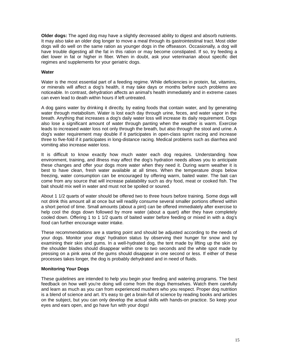**Older dogs:** The aged dog may have a slightly decreased ability to digest and absorb nutrients. It may also take an older dog longer to move a meal through its gastrointestinal tract. Most older dogs will do well on the same ration as younger dogs in the offseason. Occasionally, a dog will have trouble digesting all the fat in this ration or may become constipated. If so, try feeding a diet lower in fat or higher in fiber. When in doubt, ask your veterinarian about specific diet regimes and supplements for your geriatric dogs.

#### **Water**

Water is the most essential part of a feeding regime. While deficiencies in protein, fat, vitamins, or minerals will affect a dog's health, it may take days or months before such problems are noticeable. In contrast, dehydration affects an animal's health immediately and in extreme cases can even lead to death within hours if left untreated.

A dog gains water by drinking it directly, by eating foods that contain water, and by generating water through metabolism. Water is lost each day through urine, feces, and water vapor in the breath. Anything that increases a dog's daily water loss will increase its daily requirement. Dogs also lose a significant amount of water through panting when the weather is warm. Exercise leads to increased water loss not only through the breath, but also through the stool and urine. A dog's water requirement may double if it participates in open-class sprint racing and increase three to five-fold if it participates in long-distance racing. Medical problems such as diarrhea and vomiting also increase water loss.

It is difficult to know exactly how much water each dog requires. Understanding how environment, training, and illness may affect the dog's hydration needs allows you to anticipate these changes and offer your dogs more water when they need it. During warm weather it is best to have clean, fresh water available at all times. When the temperature drops below freezing, water consumption can be encouraged by offering warm, baited water. The bait can come from any source that will increase palatability such as dry food, meat or cooked fish. The bait should mix well in water and must not be spoiled or soured.

About 1 1/2 quarts of water should be offered two to three hours before training. Some dogs will not drink this amount all at once but will readily consume several smaller portions offered within a short period of time. Small amounts (about a pint) can be offered immediately after exercise to help cool the dogs down followed by more water (about a quart) after they have completely cooled down. Offering 1 to 1 1/2 quarts of baited water before feeding or mixed in with a dog's food can further encourage water intake.

These recommendations are a starting point and should be adjusted according to the needs of your dogs. Monitor your dogs' hydration status by observing their hunger for snow and by examining their skin and gums. In a well-hydrated dog, the tent made by lifting up the skin on the shoulder blades should disappear within one to two seconds and the white spot made by pressing on a pink area of the gums should disappear in one second or less. If either of these processes takes longer, the dog is probably dehydrated and in need of fluids.

#### **Monitoring Your Dogs**

These guidelines are intended to help you begin your feeding and watering programs. The best feedback on how well you're doing will come from the dogs themselves. Watch them carefully and learn as much as you can from experienced mushers who you respect. Proper dog nutrition is a blend of science and art. It's easy to get a brain-full of science by reading books and articles on the subject, but you can only develop the actual skills with hands-on practice. So keep your eyes and ears open, and go have fun with your dogs!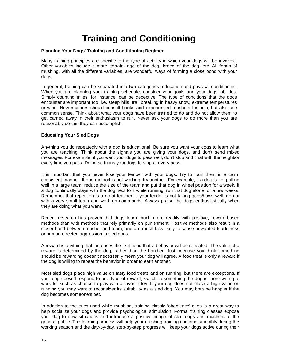## **Training and Conditioning**

#### **Planning Your Dogs' Training and Conditioning Regimen**

Many training principles are specific to the type of activity in which your dogs will be involved. Other variables include climate, terrain, age of the dog, breed of the dog, etc. All forms of mushing, with all the different variables, are wonderful ways of forming a close bond with your dogs.

In general, training can be separated into two categories: education and physical conditioning. When you are planning your training schedule, consider your goals and your dogs' abilities. Simply counting miles, for instance, can be deceptive. The type of conditions that the dogs encounter are important too, i.e. steep hills, trail breaking in heavy snow, extreme temperatures or wind. New mushers should consult books and experienced mushers for help, but also use common sense. Think about what your dogs have been trained to do and do not allow them to get carried away in their enthusiasm to run. Never ask your dogs to do more than you are reasonably certain they can accomplish.

#### **Educating Your Sled Dogs**

Anything you do repeatedly with a dog is educational. Be sure you want your dogs to learn what you are teaching. Think about the signals you are giving your dogs, and don't send mixed messages. For example, if you want your dogs to pass well, don't stop and chat with the neighbor every time you pass. Doing so trains your dogs to stop at every pass.

It is important that you never lose your temper with your dogs. Try to train them in a calm, consistent manner. If one method is not working, try another. For example, if a dog is not pulling well in a large team, reduce the size of the team and put that dog in wheel position for a week. If a dog continually plays with the dog next to it while running, run that dog alone for a few weeks. Remember that repetition is a great teacher. If your leader is not taking gees/haws well, go out with a very small team and work on commands. Always praise the dogs enthusiastically when they are doing what you want.

Recent research has proven that dogs learn much more readily with positive, reward-based methods than with methods that rely primarily on punishment. Positive methods also result in a closer bond between musher and team, and are much less likely to cause unwanted fearfulness or human-directed aggression in sled dogs.

A reward is anything that increases the likelihood that a behavior will be repeated. The value of a reward is determined by the dog, rather than the handler. Just because you think something should be rewarding doesn't necessarily mean your dog will agree. A food treat is only a reward if the dog is willing to repeat the behavior in order to earn another.

Most sled dogs place high value on tasty food treats and on running, but there are exceptions. If your dog doesn't respond to one type of reward, switch to something the dog is more willing to work for such as chance to play with a favorite toy. If your dog does not place a high value on running you may want to reconsider its suitability as a sled dog. You may both be happier if the dog becomes someone's pet.

In addition to the cues used while mushing, training classic 'obedience' cues is a great way to help socialize your dogs and provide psychological stimulation. Formal training classes expose your dog to new situations and introduce a positive image of sled dogs and mushers to the general public. The learning process will help your mushing training continue smoothly during the working season and the day-by-day, step-by-step progress will keep your dogs active during their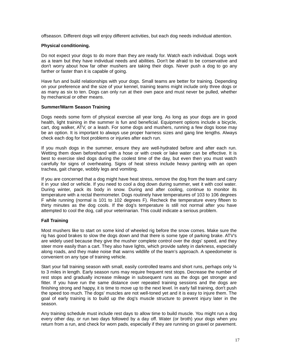offseason. Different dogs will enjoy different activities, but each dog needs individual attention.

#### **Physical conditioning.**

Do not expect your dogs to do more than they are ready for. Watch each individual. Dogs work as a team but they have individual needs and abilities. Don't be afraid to be conservative and don't worry about how far other mushers are taking their dogs. Never push a dog to go any farther or faster than it is capable of going.

Have fun and build relationships with your dogs. Small teams are better for training. Depending on your preference and the size of your kennel, training teams might include only three dogs or as many as six to ten. Dogs can only run at their own pace and must never be pulled, whether by mechanical or other means.

#### **Summer/Warm Season Training**

Dogs needs some form of physical exercise all year long. As long as your dogs are in good health, light training in the summer is fun and beneficial. Equipment options include a bicycle, cart, dog walker, ATV, or a leash. For some dogs and mushers, running a few dogs loose may be an option. It is important to always use proper harness sizes and gang line lengths. Always check each dog for foot problems or injuries after each run.

If you mush dogs in the summer, ensure they are well-hydrated before and after each run. Wetting them down beforehand with a hose or with creek or lake water can be effective. It is best to exercise sled dogs during the coolest time of the day, but even then you must watch carefully for signs of overheating. Signs of heat stress include heavy panting with an open trachea, gait change, wobbly legs and vomiting.

If you are concerned that a dog might have heat stress, remove the dog from the team and carry it in your sled or vehicle. If you need to cool a dog down during summer, wet it with cool water. During winter, pack its body in snow. During and after cooling, continue to monitor its temperature with a rectal thermometer. Dogs routinely have temperatures of 103 to 106 degrees F while running (normal is 101 to 102 degrees F). Recheck the temperature every fifteen to thirty minutes as the dog cools. If the dog's temperature is still not normal after you have attempted to cool the dog, call your veterinarian. This could indicate a serious problem.

#### **Fall Training**

Most mushers like to start on some kind of wheeled rig before the snow comes. Make sure the rig has good brakes to slow the dogs down and that there is some type of parking brake. ATV's are widely used because they give the musher complete control over the dogs' speed, and they steer more easily than a cart. They also have lights, which provide safety in darkness, especially along roads, and they make noise that warns wildlife of the team's approach. A speedometer is convenient on any type of training vehicle.

Start your fall training season with small, easily controlled teams and short runs, perhaps only 1/4 to 3 miles in length. Early season runs may require frequent rest stops. Decrease the number of rest stops and gradually increase mileage in subsequent runs as the dogs get stronger and fitter. If you have run the same distance over repeated training sessions and the dogs are finishing strong and happy, it is time to move up to the next level. In early fall training, don't push the speed too much. The dogs' muscles are not well-toned yet and it is easy to injure them. The goal of early training is to build up the dog's muscle structure to prevent injury later in the season.

Any training schedule must include rest days to allow time to build muscle. You might run a dog every other day, or run two days followed by a day off. Water (or broth) your dogs when you return from a run, and check for worn pads, especially if they are running on gravel or pavement.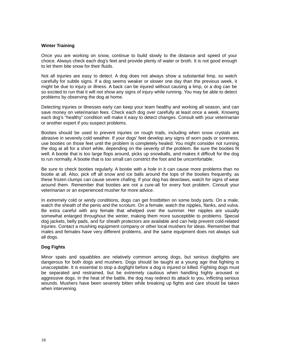#### **Winter Training**

Once you are working on snow, continue to build slowly to the distance and speed of your choice. Always check each dog's feet and provide plenty of water or broth. It is not good enough to let them bite snow for their fluids.

Not all injuries are easy to detect. A dog does not always show a substantial limp, so watch carefully for subtle signs. If a dog seems weaker or slower one day than the previous week, it might be due to injury or illness. A back can be injured without causing a limp, or a dog can be so excited to run that it will not show any signs of injury while running. You may be able to detect problems by observing the dog at home.

Detecting injuries or illnesses early can keep your team healthy and working all season, and can save money on veterinarian fees. Check each dog over carefully at least once a week. Knowing each dog's "healthy" condition will make it easy to detect changes. Consult with your veterinarian or another expert if you suspect problems.

Booties should be used to prevent injuries on rough trails, including when snow crystals are abrasive in severely cold weather. If your dogs' feet develop any signs of worn pads or soreness, use booties on those feet until the problem is completely healed. You might consider not running the dog at all for a short while, depending on the severity of the problem. Be sure the booties fit well. A bootie that is too large flops around, picks up snowballs, and makes it difficult for the dog to run normally. A bootie that is too small can constrict the foot and be uncomfortable.

Be sure to check booties regularly. A bootie with a hole in it can cause more problems than no bootie at all. Also, pick off all snow and ice balls around the tops of the booties frequently, as these frozen clumps can cause severe chafing. If your dog has dewclaws, watch for signs of wear around them. Remember that booties are not a cure-all for every foot problem. Consult your veterinarian or an experienced musher for more advice.

In extremely cold or windy conditions, dogs can get frostbitten on some body parts. On a male, watch the sheath of the penis and the scrotum. On a female, watch the nipples, flanks, and vulva. Be extra careful with any female that whelped over the summer. Her nipples are usually somewhat enlarged throughout the winter, making them more susceptible to problems. Special dog jackets, belly pads, and fur sheath protectors are available and can help prevent cold-related injuries. Contact a mushing equipment company or other local mushers for ideas. Remember that males and females have very different problems, and the same equipment does not always suit all dogs.

#### **Dog Fights**

Minor spats and squabbles are relatively common among dogs, but serious dogfights are dangerous for both dogs and mushers. Dogs should be taught at a young age that fighting is unacceptable. It is essential to stop a dogfight before a dog is injured or killed. Fighting dogs must be separated and restrained, but be extremely cautious when handling highly aroused or aggressive dogs. In the heat of the battle, the dog may redirect its attack to you, inflicting serious wounds. Mushers have been severely bitten while breaking up fights and care should be taken when intervening.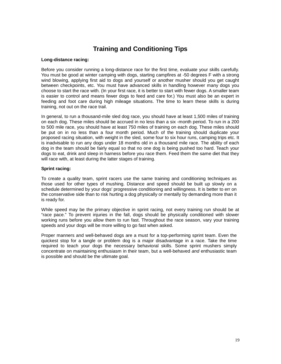### **Training and Conditioning Tips**

#### **Long-distance racing:**

Before you consider running a long-distance race for the first time, evaluate your skills carefully. You must be good at winter camping with dogs, starting campfires at -50 degrees F with a strong wind blowing, applying first aid to dogs and yourself or another musher should you get caught between checkpoints, etc. You must have advanced skills in handling however many dogs you choose to start the race with. (In your first race, it is better to start with fewer dogs. A smaller team is easier to control and means fewer dogs to feed and care for.) You must also be an expert in feeding and foot care during high mileage situations. The time to learn these skills is during training, not out on the race trail.

In general, to run a thousand-mile sled dog race, you should have at least 1,500 miles of training on each dog. These miles should be accrued in no less than a six -month period. To run in a 200 to 500 mile race, you should have at least 750 miles of training on each dog. These miles should be put on in no less than a four month period. Much of the training should duplicate your proposed racing situation, with weight in the sled, some four to six hour runs, camping trips etc. It is inadvisable to run any dogs under 18 months old in a thousand mile race. The ability of each dog in the team should be fairly equal so that no one dog is being pushed too hard. Teach your dogs to eat, drink and sleep in harness before you race them. Feed them the same diet that they will race with, at least during the latter stages of training.

#### **Sprint racing:**

To create a quality team, sprint racers use the same training and conditioning techniques as those used for other types of mushing. Distance and speed should be built up slowly on a schedule determined by your dogs' progressive conditioning and willingness. It is better to err on the conservative side than to risk hurting a dog physically or mentally by demanding more than it is ready for.

While speed may be the primary objective in sprint racing, not every training run should be at "race pace." To prevent injuries in the fall, dogs should be physically conditioned with slower working runs before you allow them to run fast. Throughout the race season, vary your training speeds and your dogs will be more willing to go fast when asked.

Proper manners and well-behaved dogs are a must for a top-performing sprint team. Even the quickest stop for a tangle or problem dog is a major disadvantage in a race. Take the time required to teach your dogs the necessary behavioral skills. Some sprint mushers simply concentrate on maintaining enthusiasm in their team, but a well-behaved *and* enthusiastic team is possible and should be the ultimate goal.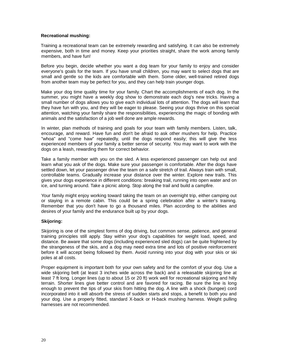#### **Recreational mushing:**

 Training a recreational team can be extremely rewarding and satisfying. It can also be extremely expensive, both in time and money. Keep your priorities straight, share the work among family members, and have fun!

 Before you begin, decide whether you want a dog team for your family to enjoy and consider everyone's goals for the team. If you have small children, you may want to select dogs that are small and gentle so the kids are comfortable with them. Some older, well-trained retired dogs from another team may be perfect for you, and they can help train younger dogs.

 Make your dog time quality time for your family. Chart the accomplishments of each dog. In the summer, you might have a weekly dog show to demonstrate each dog's new tricks. Having a small number of dogs allows you to give each individual lots of attention. The dogs will learn that they have fun with you, and they will be eager to please. Seeing your dogs thrive on this special attention, watching your family share the responsibilities, experiencing the magic of bonding with animals and the satisfaction of a job well done are ample rewards.

In winter, plan methods of training and goals for your team with family members. Listen, talk, encourage, and reward. Have fun and don't be afraid to ask other mushers for help. Practice "whoa" and "come haw" repeatedly, until the dogs respond easily; this will give the less experienced members of your family a better sense of security. You may want to work with the dogs on a leash, rewarding them for correct behavior.

Take a family member with you on the sled. A less experienced passenger can help out and learn what you ask of the dogs. Make sure your passenger is comfortable. After the dogs have settled down, let your passenger drive the team on a safe stretch of trail. Always train with small, controllable teams. Gradually increase your distance over the winter. Explore new trails. This gives your dogs experience in different conditions: breaking trail, running into open water and on ice, and turning around. Take a picnic along. Stop along the trail and build a campfire.

Your family might enjoy working toward taking the team on an overnight trip, either camping out or staying in a remote cabin. This could be a spring celebration after a winter's training. Remember that you don't have to go a thousand miles. Plan according to the abilities and desires of your family and the endurance built up by your dogs.

#### **Skijoring:**

Skijoring is one of the simplest forms of dog driving, but common sense, patience, and general training principles still apply. Stay within your dog's capabilities for weight load, speed, and distance. Be aware that some dogs (including experienced sled dogs) can be quite frightened by the strangeness of the skis, and a dog may need extra time and lots of positive reinforcement before it will accept being followed by them. Avoid running into your dog with your skis or ski poles at all costs.

Proper equipment is important both for your own safety and for the comfort of your dog. Use a wide skijoring belt (at least 3 inches wide across the back) and a releasable skijoring line at least 7 ft long. Longer lines (up to about 15 or 20 ft) work well for recreational skijoring and hilly terrain. Shorter lines give better control and are favored for racing. Be sure the line is long enough to prevent the tips of your skis from hitting the dog. A line with a shock (bungee) cord incorporated into it will absorb the stress of sudden starts and stops, a benefit to both you and your dog. Use a properly fitted, standard X-back or H-back mushing harness. Weight pulling harnesses are not recommended.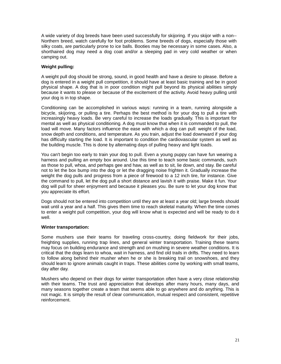A wide variety of dog breeds have been used successfully for skijoring. If you skijor with a non-- Northern breed, watch carefully for foot problems. Some breeds of dogs, especially those with silky coats, are particularly prone to ice balls. Booties may be necessary in some cases. Also, a shorthaired dog may need a dog coat and/or a sleeping pad in very cold weather or when camping out.

#### **Weight pulling:**

A weight pull dog should be strong, sound, in good health and have a desire to please. Before a dog is entered in a weight pull competition, it should have at least basic training and be in good physical shape. A dog that is in poor condition might pull beyond its physical abilities simply because it wants to please or because of the excitement of the activity. Avoid heavy pulling until your dog is in top shape.

Conditioning can be accomplished in various ways: running in a team, running alongside a bicycle, skijoring, or pulling a tire. Perhaps the best method is for your dog to pull a tire with increasingly heavy loads. Be very careful to increase the loads gradually. This is important for mental as well as physical conditioning. A dog must know that when it is commanded to pull, the load will move. Many factors influence the ease with which a dog can pull: weight of the load, snow depth and conditions, and temperature. As you train, adjust the load downward if your dog has difficulty starting the load. It is important to condition the cardiovascular system as well as the building muscle. This is done by alternating days of pulling heavy and light loads.

You can't begin too early to train your dog to pull. Even a young puppy can have fun wearing a harness and pulling an empty box around. Use this time to teach some basic commands, such as those to pull, whoa, and perhaps gee and haw, as well as to sit, lie down, and stay. Be careful not to let the box bump into the dog or let the dragging noise frighten it. Gradually increase the weight the dog pulls and progress from a piece of firewood to a 12 inch tire, for instance. Give the command to pull, let the dog pull a short distance and lavish it with praise. Make it fun. Your dog will pull for sheer enjoyment and because it pleases you. Be sure to let your dog know that you appreciate its effort.

Dogs should not be entered into competition until they are at least a year old; large breeds should wait until a year and a half. This gives them time to reach skeletal maturity. When the time comes to enter a weight pull competition, your dog will know what is expected and will be ready to do it well.

#### **Winter transportation:**

Some mushers use their teams for traveling cross-country, doing fieldwork for their jobs, freighting supplies, running trap lines, and general winter transportation. Training these teams may focus on building endurance and strength and on mushing in severe weather conditions. It is critical that the dogs learn to whoa, wait in harness, and find old trails in drifts. They need to learn to follow along behind their musher when he or she is breaking trail on snowshoes, and they should learn to ignore animals caught in traps. These abilities come by working with small teams, day after day.

Mushers who depend on their dogs for winter transportation often have a very close relationship with their teams. The trust and appreciation that develops after many hours, many days, and many seasons together create a team that seems able to go anywhere and do anything. This is not magic. It is simply the result of clear communication, mutual respect and consistent, repetitive reinforcement.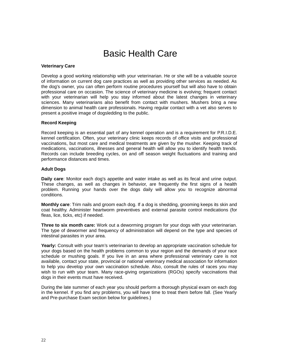### Basic Health Care

#### **Veterinary Care**

Develop a good working relationship with your veterinarian. He or she will be a valuable source of information on current dog care practices as well as providing other services as needed. As the dog's owner, you can often perform routine procedures yourself but will also have to obtain professional care on occasion. The science of veterinary medicine is evolving; frequent contact with your veterinarian will help you stay informed about the latest changes in veterinary sciences. Many veterinarians also benefit from contact with mushers. Mushers bring a new dimension to animal health care professionals. Having regular contact with a vet also serves to present a positive image of dogsledding to the public.

#### **Record Keeping**

Record keeping is an essential part of any kennel operation and is a requirement for P.R.I.D.E. kennel certification. Often, your veterinary clinic keeps records of office visits and professional vaccinations, but most care and medical treatments are given by the musher. Keeping track of medications, vaccinations, illnesses and general health will allow you to identify health trends. Records can include breeding cycles, on and off season weight fluctuations and training and performance distances and times.

#### **Adult Dogs**

**Daily care**: Monitor each dog's appetite and water intake as well as its fecal and urine output. These changes, as well as changes in behavior, are frequently the first signs of a health problem. Running your hands over the dogs daily will allow you to recognize abnormal conditions.

**Monthly care**: Trim nails and groom each dog. If a dog is shedding, grooming keeps its skin and coat healthy. Administer heartworm preventives and external parasite control medications (for fleas, lice, ticks, etc) if needed.

**Three to six month care:** Work out a deworming program for your dogs with your veterinarian. The type of dewormer and frequency of administration will depend on the type and species of intestinal parasites in your area.

**Yearly:** Consult with your team's veterinarian to develop an appropriate vaccination schedule for your dogs based on the health problems common to your region and the demands of your race schedule or mushing goals. If you live in an area where professional veterinary care is not available, contact your state, provincial or national veterinary medical association for information to help you develop your own vaccination schedule. Also, consult the rules of races you may wish to run with your team. Many race-giving organizations (RGOs) specify vaccinations that dogs in their events must have received.

During the late summer of each year you should perform a thorough physical exam on each dog in the kennel. If you find any problems, you will have time to treat them before fall. (See Yearly and Pre-purchase Exam section below for guidelines.)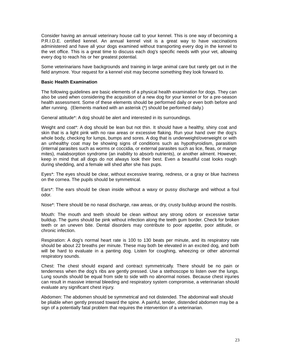Consider having an annual veterinary house call to your kennel. This is one way of becoming a P.R.I.D.E. certified kennel. An annual kennel visit is a great way to have vaccinations administered and have all your dogs examined without transporting every dog in the kennel to the vet office. This is a great time to discuss each dog's specific needs with your vet, allowing every dog to reach his or her greatest potential.

Some veterinarians have backgrounds and training in large animal care but rarely get out in the field anymore. Your request for a kennel visit may become something they look forward to.

#### **Basic Health Examination**

The following guidelines are basic elements of a physical health examination for dogs. They can also be used when considering the acquisition of a new dog for your kennel or for a pre-season health assessment. Some of these elements should be performed daily or even both before and after running. (Elements marked with an asterisk (\*) should be performed daily.)

General attitude\*: A dog should be alert and interested in its surroundings.

Weight and coat\*: A dog should be lean but not thin. It should have a healthy, shiny coat and skin that is a light pink with no raw areas or excessive flaking. Run your hand over the dog's whole body, checking for lumps, bumps and sores. A dog that is underweight/overweight or with an unhealthy coat may be showing signs of conditions such as hypothyroidism, parasitism (internal parasites such as worms or coccidia, or external parasites such as lice, fleas, or mange mites), malabsorption syndrome (an inability to absorb nutrients), or another ailment. However, keep in mind that all dogs do not always look their best. Even a beautiful coat looks rough during shedding, and a female will shed after she has pups.

Eyes\*: The eyes should be clear, without excessive tearing, redness, or a gray or blue haziness on the cornea. The pupils should be symmetrical.

Ears\*: The ears should be clean inside without a waxy or pussy discharge and without a foul odor.

Nose\*: There should be no nasal discharge, raw areas, or dry, crusty buildup around the nostrils.

Mouth: The mouth and teeth should be clean without any strong odors or excessive tartar buildup. The gums should be pink without infection along the teeth gum border. Check for broken teeth or an uneven bite. Dental disorders may contribute to poor appetite, poor attitude, or chronic infection.

Respiration: A dog's normal heart rate is 100 to 130 beats per minute, and its respiratory rate should be about 22 breaths per minute. These may both be elevated in an excited dog, and both will be hard to evaluate in a panting dog. Listen for coughing, wheezing or other abnormal respiratory sounds.

Chest: The chest should expand and contract symmetrically. There should be no pain or tenderness when the dog's ribs are gently pressed. Use a stethoscope to listen over the lungs. Lung sounds should be equal from side to side with no abnormal noises. Because chest injuries can result in massive internal bleeding and respiratory system compromise, a veterinarian should evaluate any significant chest injury.

Abdomen: The abdomen should be symmetrical and not distended. The abdominal wall should be pliable when gently pressed toward the spine. A painful, tender, distended abdomen may be a sign of a potentially fatal problem that requires the intervention of a veterinarian.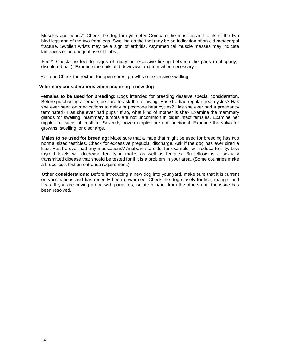Muscles and bones\*: Check the dog for symmetry. Compare the muscles and joints of the two hind legs and of the two front legs. Swelling on the foot may be an indication of an old metacarpal fracture. Swollen wrists may be a sign of arthritis. Asymmetrical muscle masses may indicate lameness or an unequal use of limbs.

 Feet\*: Check the feet for signs of injury or excessive licking between the pads (mahogany, discolored hair). Examine the nails and dewclaws and trim when necessary.

Rectum: Check the rectum for open sores, growths or excessive swelling.

#### **Veterinary considerations when acquiring a new dog**.

**Females to be used for breeding:** Dogs intended for breeding deserve special consideration. Before purchasing a female, be sure to ask the following: Has she had regular heat cycles? Has she ever been on medications to delay or postpone heat cycles? Has she ever had a pregnancy terminated? Has she ever had pups? If so, what kind of mother is she? Examine the mammary glands for swelling; mammary tumors are not uncommon in older intact females. Examine her nipples for signs of frostbite. Severely frozen nipples are not functional. Examine the vulva for growths, swelling, or discharge.

 **Males to be used for breeding:** Make sure that a male that might be used for breeding has two normal sized testicles. Check for excessive prepucial discharge. Ask if the dog has ever sired a litter. Has he ever had any medications? Anabolic steroids, for example, will reduce fertility. Low thyroid levels will decrease fertility in males as well as females. Brucellosis is a sexually transmitted disease that should be tested for if it is a problem in your area. (Some countries make a brucellosis test an entrance requirement.)

 **Other considerations**: Before introducing a new dog into your yard, make sure that it is current on vaccinations and has recently been dewormed. Check the dog closely for lice, mange, and fleas. If you are buying a dog with parasites, isolate him/her from the others until the issue has been resolved.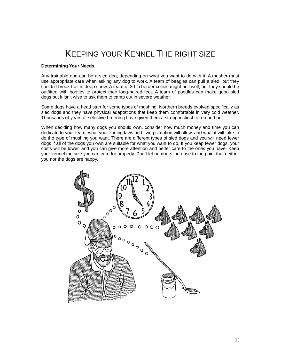### KEEPING YOUR KENNEL THE RIGHT SIZE

#### **Determining Your Needs**

Any trainable dog can be a sled dog, depending on what you want to do with it. A musher must use appropriate care when asking any dog to work. A team of beagles can pull a sled, but they couldn't break trail in deep snow. A team of 30 lb border collies might pull well, but they should be outfitted with booties to protect their long-haired feet. A team of poodles can make good sled dogs but it isn't wise to ask them to camp out in severe weather.

Some dogs have a head start for some types of mushing. Northern breeds evolved specifically as sled dogs and they have physical adaptations that keep them comfortable in very cold weather. Thousands of years of selective breeding have given them a strong instinct to run and pull.

When deciding how many dogs you should own, consider how much money and time you can dedicate to your team, what your zoning laws and living situation will allow, and what it will take to do the type of mushing you want. There are different types of sled dogs and you will need fewer dogs if all of the dogs you own are suitable for what you want to do. If you keep fewer dogs, your costs will be lower, and you can give more attention and better care to the ones you have. Keep your kennel the size you can care for properly. Don't let numbers increase to the point that neither you nor the dogs are happy.

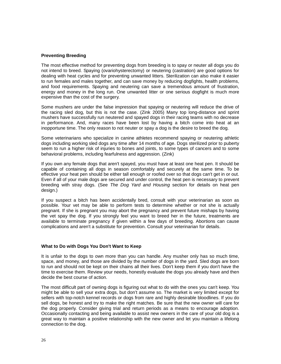#### **Preventing Breeding**

The most effective method for preventing dogs from breeding is to spay or neuter all dogs you do not intend to breed. Spaying (ovariohysterectomy) or neutering (castration) are good options for dealing with heat cycles and for preventing unwanted litters. Sterilization can also make it easier to run females and males together, and can save money by reducing dogfights, health problems, and food requirements. Spaying and neutering can save a tremendous amount of frustration, energy and money in the long run. One unwanted litter or one serious dogfight is much more expensive than the cost of the surgery.

Some mushers are under the false impression that spaying or neutering will reduce the drive of the racing sled dog, but this is not the case. (Zink 2005) Many top long-distance and sprint mushers have successfully run neutered and spayed dogs in their racing teams with no decrease in performance. And, many races have been lost by having a bitch come into heat at an inopportune time. The only reason to not neuter or spay a dog is the desire to breed the dog.

Some veterinarians who specialize in canine athletes recommend spaying or neutering athletic dogs including working sled dogs any time after 14 months of age. Dogs sterilized prior to puberty seem to run a higher risk of injuries to bones and joints, to some types of cancers and to some behavioral problems, including fearfulness and aggression. (Zink)

If you own any female dogs that aren't spayed, you must have at least one heat pen. It should be capable of containing all dogs in season comfortably and securely at the same time. To be effective your heat pen should be either tall enough or roofed over so that dogs can't get in or out. Even if all of your male dogs are secured and under control, the heat pen is necessary to prevent breeding with stray dogs. (See *The Dog Yard and Housing* section for details on heat pen design.)

If you suspect a bitch has been accidentally bred, consult with your veterinarian as soon as possible. Your vet may be able to perform tests to determine whether or not she is actually pregnant. If she is pregnant you may abort the pregnancy and prevent future mishaps by having the vet spay the dog. If you strongly feel you want to breed her in the future, treatments are available to terminate pregnancy if given within a few days of breeding. Abortions can cause complications and aren't a substitute for prevention. Consult your veterinarian for details.

#### **What to Do with Dogs You Don't Want to Keep**

It is unfair to the dogs to own more than you can handle. Any musher only has so much time, space, and money, and those are divided by the number of dogs in the yard. Sled dogs are born to run and should not be kept on their chains all their lives. Don't keep them if you don't have the time to exercise them. Review your needs, honestly evaluate the dogs you already have and then decide the best course of action.

The most difficult part of owning dogs is figuring out what to do with the ones you can't keep. You might be able to sell your extra dogs, but don't assume so. The market is very limited except for sellers with top-notch kennel records or dogs from rare and highly desirable bloodlines. If you do sell dogs, be honest and try to make the right matches. Be sure that the new owner will care for the dog properly. Consider giving trial and return periods as a means to encourage adoption. Occasionally contacting and being available to assist new owners in the care of your old dog is a great way to maintain a positive relationship with the new owner and let you maintain a lifelong connection to the dog.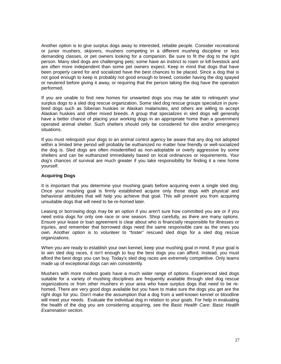Another option is to give surplus dogs away to interested, reliable people. Consider recreational or junior mushers, skijorers, mushers competing in a different mushing discipline or less demanding classes, or pet owners looking for a companion. Be sure to fit the dog to the right person. Many sled dogs are challenging pets; some have an instinct to roam or kill livestock and are often more independent than some pet owners expect. Keep in mind that dogs that have been properly cared for and socialized have the best chances to be placed. Since a dog that is not good enough to keep is probably not good enough to breed, consider having the dog spayed or neutered before giving it away, or requiring that the person taking the dog have the operation performed.

If you are unable to find new homes for unwanted dogs you may be able to relinquish your surplus dogs to a sled dog rescue organization. Some sled dog rescue groups specialize in purebred dogs such as Siberian huskies or Alaskan malamutes, and others are willing to accept Alaskan huskies and other mixed breeds. A group that specializes in sled dogs will generally have a better chance of placing your working dogs in an appropriate home than a government operated animal shelter. Such shelters should only be considered for dire and/or emergency situations.

If you must relinquish your dogs to an animal control agency be aware that any dog not adopted within a limited time period will probably be euthanized no matter how friendly or well-socialized the dog is. Sled dogs are often misidentified as non-adoptable or overly aggressive by some shelters and can be euthanized immediately based on local ordinances or requirements. Your dog's chances of survival are much greater if you take responsibility for finding it a new home yourself.

#### **Acquiring Dogs**

It is important that you determine your mushing goals before acquiring even a single sled dog. Once your mushing goal is firmly established acquire only those dogs with physical and behavioral attributes that will help you achieve that goal. This will prevent you from acquiring unsuitable dogs that will need to be re-homed later.

Leasing or borrowing dogs may be an option if you aren't sure how committed you are or if you need extra dogs for only one race or one season. Shop carefully, as there are many options. Ensure your lease or loan agreement is clear about who is financially responsible for illnesses or injuries, and remember that borrowed dogs need the same responsible care as the ones you own. Another option is to volunteer to "foster" rescued sled dogs for a sled dog rescue organizations.

When you are ready to establish your own kennel, keep your mushing goal in mind. If your goal is to win sled dog races, it isn't enough to buy the best dogs you can afford. Instead, you must afford the best dogs you can buy. Today's sled dog races are extremely competitive. Only teams made up of exceptional dogs can win consistently.

Mushers with more modest goals have a much wider range of options. Experienced sled dogs suitable for a variety of mushing disciplines are frequently available through sled dog rescue organizations or from other mushers in your area who have surplus dogs that need to be rehomed. There are very good dogs available but you have to make sure the dogs you get are the right dogs for you. Don't make the assumption that a dog from a well-known kennel or bloodline will meet your needs. Evaluate the individual dog in relation to your goals. For help in evaluating the health of the dog you are considering acquiring, see the *Basic Health Care: Basic Health Examination section.*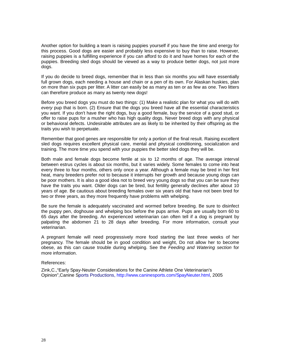Another option for building a team is raising puppies yourself if you have the time and energy for this process. Good dogs are easier and probably less expensive to buy than to raise. However, raising puppies is a fulfilling experience if you can afford to do it and have homes for each of the puppies. Breeding sled dogs should be viewed as a way to produce better dogs, not just more dogs.

If you do decide to breed dogs, remember that in less than six months you will have essentially full grown dogs, each needing a house and chain or a pen of its own. For Alaskan huskies, plan on more than six pups per litter. A litter can easily be as many as ten or as few as one. Two litters can therefore produce as many as twenty new dogs!

Before you breed dogs you must do two things: (1) Make a realistic plan for what you will do with *every* pup that is born. (2) Ensure that the dogs you breed have all the essential characteristics you want. If you don't have the right dogs, buy a good female, buy the service of a good stud, or offer to raise pups for a musher who has high quality dogs. Never breed dogs with any physical or behavioral defects. Undesirable attributes are as likely to be inherited by their offspring as the traits you wish to perpetuate.

Remember that good genes are responsible for only a portion of the final result. Raising excellent sled dogs requires excellent physical care, mental and physical conditioning, socialization and training. The more time you spend with your puppies the better sled dogs they will be.

Both male and female dogs become fertile at six to 12 months of age. The average interval between estrus cycles is about six months, but it varies widely. Some females to come into heat every three to four months, others only once a year. Although a female may be bred in her first heat, many breeders prefer not to because it interrupts her growth and because young dogs can be poor mothers. It is also a good idea not to breed very young dogs so that you can be sure they have the traits you want. Older dogs can be bred, but fertility generally declines after about 10 years of age. Be cautious about breeding females over six years old that have not been bred for two or three years, as they more frequently have problems with whelping.

Be sure the female is adequately vaccinated and wormed before breeding. Be sure to disinfect the puppy pen, doghouse and whelping box before the pups arrive. Pups are usually born 60 to 65 days after the breeding. An experienced veterinarian can often tell if a dog is pregnant by palpating the abdomen 21 to 28 days after breeding. For more information, consult your veterinarian.

A pregnant female will need progressively more food starting the last three weeks of her pregnancy. The female should be in good condition and weight, Do not allow her to become obese, as this can cause trouble during whelping. See the *Feeding and Watering section* for more information.

#### References:

Zink,C.,"Early Spay-Neuter Considerations for the Canine Athlete One Veterinarian's Opinion",Canine Sports Productions, http://www.caninesports.com/SpayNeuter.html, 2005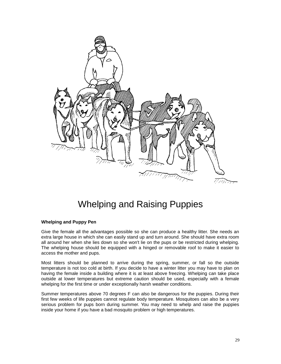

### Whelping and Raising Puppies

#### **Whelping and Puppy Pen**

Give the female all the advantages possible so she can produce a healthy litter. She needs an extra large house in which she can easily stand up and turn around. She should have extra room all around her when she lies down so she won't lie on the pups or be restricted during whelping. The whelping house should be equipped with a hinged or removable roof to make it easier to access the mother and pups.

Most litters should be planned to arrive during the spring, summer, or fall so the outside temperature is not too cold at birth. If you decide to have a winter litter you may have to plan on having the female inside a building where it is at least above freezing. Whelping can take place outside at lower temperatures but extreme caution should be used, especially with a female whelping for the first time or under exceptionally harsh weather conditions.

Summer temperatures above 70 degrees F can also be dangerous for the puppies. During their first few weeks of life puppies cannot regulate body temperature. Mosquitoes can also be a very serious problem for pups born during summer. You may need to whelp and raise the puppies inside your home if you have a bad mosquito problem or high temperatures.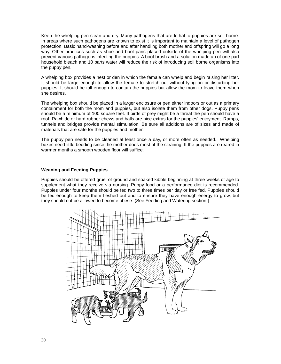Keep the whelping pen clean and dry. Many pathogens that are lethal to puppies are soil borne. In areas where such pathogens are known to exist it is important to maintain a level of pathogen protection. Basic hand-washing before and after handling both mother and offspring will go a long way. Other practices such as shoe and boot pans placed outside of the whelping pen will also prevent various pathogens infecting the puppies. A boot brush and a solution made up of one part household bleach and 10 parts water will reduce the risk of introducing soil borne organisms into the puppy pen.

A whelping box provides a nest or den in which the female can whelp and begin raising her litter. It should be large enough to allow the female to stretch out without lying on or disturbing her puppies. It should be tall enough to contain the puppies but allow the mom to leave them when she desires.

The whelping box should be placed in a larger enclosure or pen either indoors or out as a primary containment for both the mom and puppies, but also isolate them from other dogs. Puppy pens should be a minimum of 100 square feet. If birds of prey might be a threat the pen should have a roof. Rawhide or hard rubber chews and balls are nice extras for the puppies' enjoyment. Ramps, tunnels and bridges provide mental stimulation. Be sure all additions are of sizes and made of materials that are safe for the puppies and mother.

The puppy pen needs to be cleaned at least once a day, or more often as needed. Whelping boxes need little bedding since the mother does most of the cleaning. If the puppies are reared in warmer months a smooth wooden floor will suffice.

#### **Weaning and Feeding Puppies**

Puppies should be offered gruel of ground and soaked kibble beginning at three weeks of age to supplement what they receive via nursing. Puppy food or a performance diet is recommended. Puppies under four months should be fed two to three times per day or free fed. Puppies should be fed enough to keep them fleshed out and to ensure they have enough energy to grow, but they should not be allowed to become obese. (See Feeding and Watering section.)

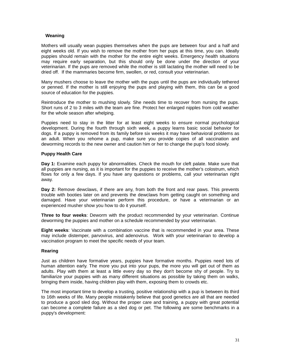#### **Weaning**

Mothers will usually wean puppies themselves when the pups are between four and a half and eight weeks old. If you wish to remove the mother from her pups at this time, you can. Ideally puppies should remain with the mother for the entire eight weeks. Emergency health situations may require early separation, but this should only be done under the direction of your veterinarian. If the pups are removed while the mother is still lactating the mother will need to be dried off. If the mammaries become firm, swollen, or red, consult your veterinarian.

Many mushers choose to leave the mother with the pups until the pups are individually tethered or penned. If the mother is still enjoying the pups and playing with them, this can be a good source of education for the puppies.

Reintroduce the mother to mushing slowly. She needs time to recover from nursing the pups. Short runs of 2 to 3 miles with the team are fine. Protect her enlarged nipples from cold weather for the whole season after whelping.

Puppies need to stay in the litter for at least eight weeks to ensure normal psychological development. During the fourth through sixth week, a puppy learns basic social behavior for dogs. If a puppy is removed from its family before six weeks it may have behavioral problems as an adult. When you rehome a pup, make sure you provide copies of all vaccination and deworming records to the new owner and caution him or her to change the pup's food slowly.

#### **Puppy Health Care**

**Day 1:** Examine each puppy for abnormalities. Check the mouth for cleft palate. Make sure that all puppies are nursing, as it is important for the puppies to receive the mother's colostrum, which flows for only a few days. If you have any questions or problems, call your veterinarian right away.

**Day 2:** Remove dewclaws, if there are any, from both the front and rear paws. This prevents trouble with booties later on and prevents the dewclaws from getting caught on something and damaged. Have your veterinarian perform this procedure, or have a veterinarian or an experienced musher show you how to do it yourself.

**Three to four weeks**: Deworm with the product recommended by your veterinarian. Continue deworming the puppies and mother on a schedule recommended by your veterinarian.

**Eight weeks**: Vaccinate with a combination vaccine that is recommended in your area. These may include distemper, parvovirus, and adenovirus. Work with your veterinarian to develop a vaccination program to meet the specific needs of your team.

#### **Rearing**

Just as children have formative years, puppies have formative months. Puppies need lots of human attention early. The more you put into your pups, the more you will get out of them as adults. Play with them at least a little every day so they don't become shy of people. Try to familiarize your puppies with as many different situations as possible by taking them on walks, bringing them inside, having children play with them, exposing them to crowds etc.

The most important time to develop a trusting, positive relationship with a pup is between its third to 16th weeks of life. Many people mistakenly believe that good genetics are all that are needed to produce a good sled dog. Without the proper care and training, a puppy with great potential can become a complete failure as a sled dog or pet. The following are some benchmarks in a puppy's development: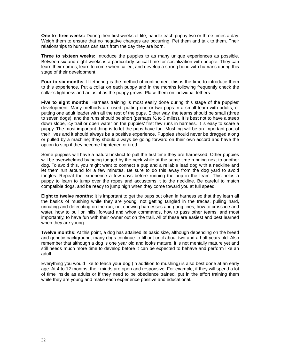**One to three weeks:** During their first weeks of life, handle each puppy two or three times a day. Weigh them to ensure that no negative changes are occurring. Pet them and talk to them. Their relationships to humans can start from the day they are born.

**Three to sixteen weeks:** Introduce the puppies to as many unique experiences as possible. Between six and eight weeks is a particularly critical time for socialization with people. They can learn their names, learn to come when called, and develop a strong bond with humans during this stage of their development.

**Four to six months**: If tethering is the method of confinement this is the time to introduce them to this experience. Put a collar on each puppy and in the months following frequently check the collar's tightness and adjust it as the puppy grows. Place them on individual tethers.

**Five to eight months**: Harness training is most easily done during this stage of the puppies' development. Many methods are used: putting one or two pups in a small team with adults, or putting one adult leader with all the rest of the pups. Either way, the teams should be small (three to seven dogs), and the runs should be short (perhaps  $\frac{1}{2}$  to 3 miles). It is best not to have a steep down slope, icy trail or open water on the puppies' first few runs in harness. It is easy to scare a puppy. The most important thing is to let the pups have fun. Mushing will be an important part of their lives and it should always be a positive experience. Puppies should never be dragged along or pulled by a machine; they should always be going forward on their own accord and have the option to stop if they become frightened or tired.

Some puppies will have a natural instinct to pull the first time they are harnessed. Other puppies will be overwhelmed by being tugged by the neck while at the same time running next to another dog. To avoid this, you might want to connect a pup and a reliable lead dog with a neckline and let them run around for a few minutes. Be sure to do this away from the dog yard to avoid tangles. Repeat the experience a few days before running the pup in the team. This helps a puppy to learn to jump over the ropes and accustoms it to the neckline. Be careful to match compatible dogs, and be ready to jump high when they come toward you at full speed.

**Eight to twelve months**: It is important to get the pups out often in harness so that they learn all the basics of mushing while they are young: not getting tangled in the traces, pulling hard, urinating and defecating on the run, not chewing harnesses and gang lines, how to cross ice and water, how to pull on hills, forward and whoa commands, how to pass other teams, and most importantly, to have fun with their owner out on the trail. All of these are easiest and best learned when they are young.

**Twelve months:** At this point, a dog has attained its basic size, although depending on the breed and genetic background, many dogs continue to fill out until about two and a half years old. Also remember that although a dog is one year old and looks mature, it is not mentally mature yet and still needs much more time to develop before it can be expected to behave and perform like an adult.

Everything you would like to teach your dog (in addition to mushing) is also best done at an early age. At 4 to 12 months, their minds are open and responsive. For example, if they will spend a lot of time inside as adults or if they need to be obedience trained, put in the effort training them while they are young and make each experience positive and educational.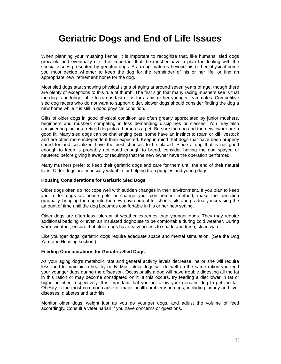### **Geriatric Dogs and End of Life Issues**

When planning your mushing kennel it is important to recognize that, like humans, sled dogs grow old and eventually die. It is important that the musher have a plan for dealing with the special issues presented by geriatric dogs. As a dog matures beyond his or her physical prime you must decide whether to keep the dog for the remainder of his or her life, or find an appropriate new 'retirement' home for the dog.

Most sled dogs start showing physical signs of aging at around seven years of age, though there are plenty of exceptions to this rule of thumb. The first sign that many racing mushers see is that the dog is no longer able to run as fast or as far as his or her younger teammates. Competitive sled dog racers who do not want to support older, slower dogs should consider finding the dog a new home while it is still in good physical condition.

Gifts of older dogs in good physical condition are often greatly appreciated by junior mushers, beginners and mushers competing in less demanding disciplines or classes. You may also considering placing a retired dog into a home as a pet. Be sure the dog and the new owner are a good fit. Many sled dogs can be challenging pets; some have an instinct to roam or kill livestock and are often more independent than expected. Keep in mind that dogs that have been properly cared for and socialized have the best chances to be placed. Since a dog that is not good enough to keep is probably not good enough to breed, consider having the dog spayed or neutered before giving it away, or requiring that the new owner have the operation performed.

Many mushers prefer to keep their geriatric dogs and care for them until the end of their natural lives. Older dogs are especially valuable for helping train puppies and young dogs.

#### **Housing Considerations for Geriatric Sled Dogs**:

Older dogs often do not cope well with sudden changes in their environment. If you plan to keep your older dogs as house pets or change your confinement method, make the transition gradually, bringing the dog into the new environment for short visits and gradually increasing the amount of time until the dog becomes comfortable in his or her new setting.

Older dogs are often less tolerant of weather extremes than younger dogs. They may require additional bedding or even an insulated doghouse to be comfortable during cold weather. During warm weather, ensure that older dogs have easy access to shade and fresh, clean water.

Like younger dogs, geriatric dogs require adequate space and mental stimulation. (See the Dog Yard and Housing section.)

#### **Feeding Considerations for Geriatric Sled Dogs**:

As your aging dog's metabolic rate and general activity levels decrease, he or she will require less food to maintain a healthy body. Most older dogs will do well on the same ration you feed your younger dogs during the offseason. Occasionally a dog will have trouble digesting all the fat in this ration or may become constipated on it. If this occurs, try feeding a diet lower in fat or higher in fiber, respectively. It is important that you not allow your geriatric dog to get too fat. Obesity is the most common cause of major health problems in dogs, including kidney and liver diseases, diabetes and arthritis.

Monitor older dogs' weight just as you do younger dogs, and adjust the volume of feed accordingly. Consult a veterinarian if you have concerns or questions.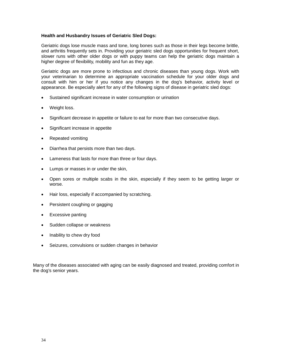#### **Health and Husbandry Issues of Geriatric Sled Dogs:**

Geriatric dogs lose muscle mass and tone, long bones such as those in their legs become brittle, and arthritis frequently sets in. Providing your geriatric sled dogs opportunities for frequent short, slower runs with other older dogs or with puppy teams can help the geriatric dogs maintain a higher degree of flexibility, mobility and fun as they age.

Geriatric dogs are more prone to infectious and chronic diseases than young dogs. Work with your veterinarian to determine an appropriate vaccination schedule for your older dogs and consult with him or her if you notice any changes in the dog's behavior, activity level or appearance. Be especially alert for any of the following signs of disease in geriatric sled dogs:

- Sustained significant increase in water consumption or urination
- Weight loss.
- Significant decrease in appetite or failure to eat for more than two consecutive days.
- Significant increase in appetite
- Repeated vomiting
- Diarrhea that persists more than two days.
- Lameness that lasts for more than three or four days.
- Lumps or masses in or under the skin,
- Open sores or multiple scabs in the skin, especially if they seem to be getting larger or worse.
- Hair loss, especially if accompanied by scratching.
- Persistent coughing or gagging
- Excessive panting
- Sudden collapse or weakness
- Inability to chew dry food
- Seizures, convulsions or sudden changes in behavior

Many of the diseases associated with aging can be easily diagnosed and treated, providing comfort in the dog's senior years.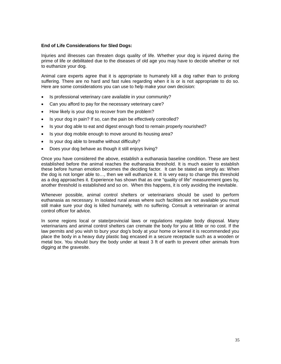#### **End of Life Considerations for Sled Dogs:**

Injuries and illnesses can threaten dogs quality of life. Whether your dog is injured during the prime of life or debilitated due to the diseases of old age you may have to decide whether or not to euthanize your dog.

Animal care experts agree that it is appropriate to humanely kill a dog rather than to prolong suffering. There are no hard and fast rules regarding when it is or is not appropriate to do so. Here are some considerations you can use to help make your own decision:

- Is professional veterinary care available in your community?
- Can you afford to pay for the necessary veterinary care?
- How likely is your dog to recover from the problem?
- Is your dog in pain? If so, can the pain be effectively controlled?
- Is your dog able to eat and digest enough food to remain properly nourished?
- Is your dog mobile enough to move around its housing area?
- Is your dog able to breathe without difficulty?
- Does your dog behave as though it still enjoys living?

Once you have considered the above, establish a euthanasia baseline condition. These are best established before the animal reaches the euthanasia threshold. It is much easier to establish these before human emotion becomes the deciding factor. It can be stated as simply as: When the dog is not longer able to…, then we will euthanize it. It is very easy to change this threshold as a dog approaches it. Experience has shown that as one "quality of life" measurement goes by, another threshold is established and so on. When this happens, it is only avoiding the inevitable.

Whenever possible, animal control shelters or veterinarians should be used to perform euthanasia as necessary. In isolated rural areas where such facilities are not available you must still make sure your dog is killed humanely, with no suffering. Consult a veterinarian or animal control officer for advice.

In some regions local or state/provincial laws or regulations regulate body disposal. Many veterinarians and animal control shelters can cremate the body for you at little or no cost. If the law permits and you wish to bury your dog's body at your home or kennel it is recommended you place the body in a heavy duty plastic bag encased in a secure receptacle such as a wooden or metal box. You should bury the body under at least 3 ft of earth to prevent other animals from digging at the gravesite.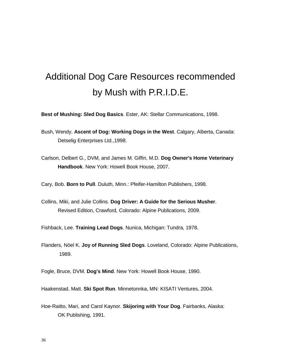## Additional Dog Care Resources recommended by Mush with P.R.I.D.E.

**Best of Mushing: Sled Dog Basics**. Ester, AK: Stellar Communications, 1998.

- Bush, Wendy. **Ascent of Dog: Working Dogs in the West**. Calgary, Alberta, Canada: Detselig Enterprises Ltd.,1998.
- Carlson, Delbert G., DVM, and James M. Giffin, M.D. **Dog Owner's Home Veterinary Handbook**. New York: Howell Book House, 2007.

Cary, Bob. **Born to Pull**. Duluth, Minn.: Pfeifer-Hamilton Publishers, 1998.

Collins, Miki, and Julie Collins. **Dog Driver: A Guide for the Serious Musher**. Revised Edition, Crawford, Colorado: Alpine Publications, 2009.

Fishback, Lee. **Training Lead Dogs**. Nunica, Michigan: Tundra, 1978.

Flanders, Nöel K. **Joy of Running Sled Dogs**. Loveland, Colorado: Alpine Publications, 1989.

Fogle, Bruce, DVM. **Dog's Mind**. New York: Howell Book House, 1990.

Haakenstad, Matt. **Ski Spot Run**. Minnetonnka, MN: KISATI Ventures, 2004.

Hoe-Raitto, Mari, and Carol Kaynor. **Skijoring with Your Dog**. Fairbanks, Alaska: OK Publishing, 1991.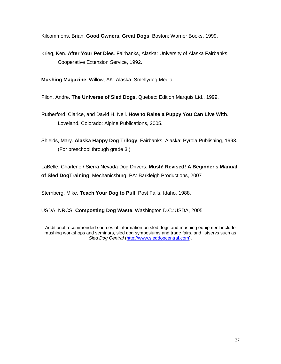Kilcommons, Brian. **Good Owners, Great Dogs**. Boston: Warner Books, 1999.

Krieg, Ken. **After Your Pet Dies**. Fairbanks, Alaska: University of Alaska Fairbanks Cooperative Extension Service, 1992.

**Mushing Magazine**. Willow, AK: Alaska: Smellydog Media.

Pilon, Andre. **The Universe of Sled Dogs**. Quebec: Edition Marquis Ltd., 1999.

- Rutherford, Clarice, and David H. Neil. **How to Raise a Puppy You Can Live With**. Loveland, Colorado: Alpine Publications, 2005.
- Shields, Mary. **Alaska Happy Dog Trilogy**. Fairbanks, Alaska: Pyrola Publishing, 1993. (For preschool through grade 3.)

LaBelle, Charlene / Sierra Nevada Dog Drivers. **Mush! Revised! A Beginner's Manual of Sled DogTraining**. Mechanicsburg, PA: Barkleigh Productions, 2007

Sternberg, Mike. **Teach Your Dog to Pull**. Post Falls, Idaho, 1988.

USDA, NRCS. **Composting Dog Waste**. Washington D.C.:USDA, 2005

Additional recommended sources of information on sled dogs and mushing equipment include mushing workshops and seminars, sled dog symposiums and trade fairs, and listservs such as *Sled Dog Central* [\(http://www.sleddogcentral.com\)](http://www.sleddogcentral.com/).